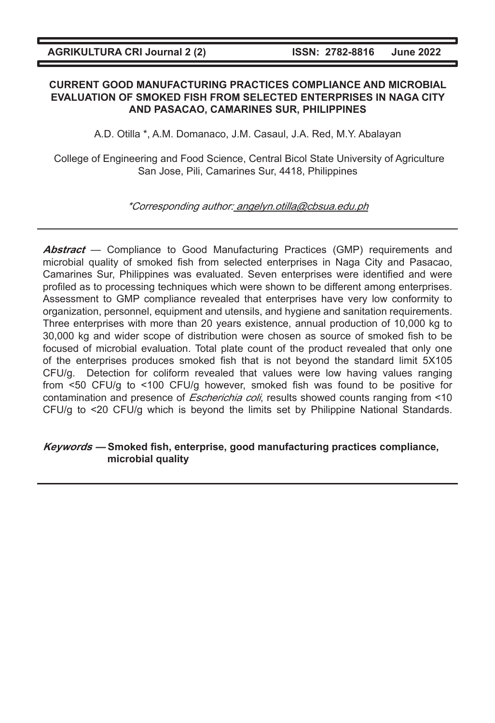## **CURRENT GOOD MANUFACTURING PRACTICES COMPLIANCE AND MICROBIAL EVALUATION OF SMOKED FISH FROM SELECTED ENTERPRISES IN NAGA CITY AND PASACAO, CAMARINES SUR, PHILIPPINES**

A.D. Otilla \*, A.M. Domanaco, J.M. Casaul, J.A. Red, M.Y. Abalayan

 College of Engineering and Food Science, Central Bicol State University of Agriculture San Jose, Pili, Camarines Sur, 4418, Philippines

\*Corresponding author: angelyn.otilla@cbsua.edu.ph

Abstract — Compliance to Good Manufacturing Practices (GMP) requirements and microbial quality of smoked fish from selected enterprises in Naga City and Pasacao, Camarines Sur, Philippines was evaluated. Seven enterprises were identified and were profiled as to processing techniques which were shown to be different among enterprises. Assessment to GMP compliance revealed that enterprises have very low conformity to organization, personnel, equipment and utensils, and hygiene and sanitation requirements. Three enterprises with more than 20 years existence, annual production of 10,000 kg to 30,000 kg and wider scope of distribution were chosen as source of smoked fish to be focused of microbial evaluation. Total plate count of the product revealed that only one of the enterprises produces smoked fish that is not beyond the standard limit 5X105 CFU/g. Detection for coliform revealed that values were low having values ranging from <50 CFU/g to <100 CFU/g however, smoked fish was found to be positive for contamination and presence of *Escherichia coli*, results showed counts ranging from <10 CFU/g to <20 CFU/g which is beyond the limits set by Philippine National Standards.

# **Keywords — Smoked fish, enterprise, good manufacturing practices compliance, microbial quality**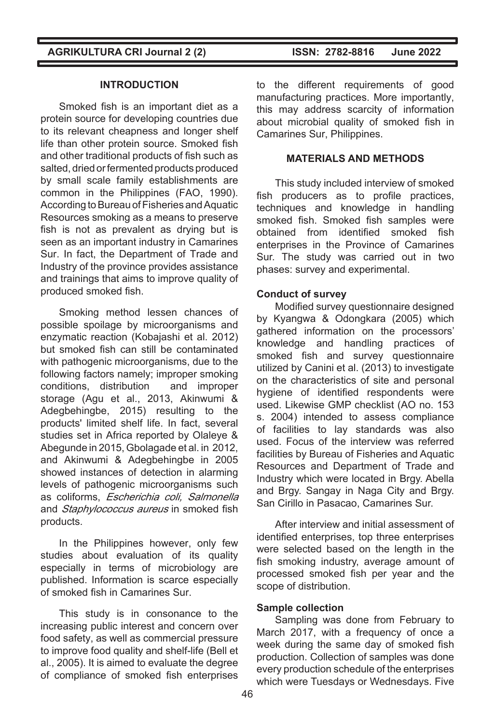**INTRODUCTION**

Smoked fish is an important diet as a protein source for developing countries due to its relevant cheapness and longer shelf life than other protein source. Smoked fish and other traditional products of fish such as salted, dried or fermented products produced by small scale family establishments are common in the Philippines (FAO, 1990). According to Bureau of Fisheries and Aquatic Resources smoking as a means to preserve fish is not as prevalent as drying but is seen as an important industry in Camarines Sur. In fact, the Department of Trade and Industry of the province provides assistance and trainings that aims to improve quality of produced smoked fish.

Smoking method lessen chances of possible spoilage by microorganisms and enzymatic reaction (Kobajashi et al. 2012) but smoked fish can still be contaminated with pathogenic microorganisms, due to the following factors namely; improper smoking conditions, distribution and improper storage (Agu et al., 2013, Akinwumi & Adegbehingbe, 2015) resulting to the products' limited shelf life. In fact, several studies set in Africa reported by Olaleye & Abegunde in 2015, Gbolagade et al. in 2012, and Akinwumi & Adegbehingbe in 2005 showed instances of detection in alarming levels of pathogenic microorganisms such as coliforms, Escherichia coli, Salmonella and *Staphylococcus aureus* in smoked fish products.

In the Philippines however, only few studies about evaluation of its quality especially in terms of microbiology are published. Information is scarce especially of smoked fish in Camarines Sur.

This study is in consonance to the increasing public interest and concern over food safety, as well as commercial pressure to improve food quality and shelf-life (Bell et al., 2005). It is aimed to evaluate the degree of compliance of smoked fish enterprises

to the different requirements of good manufacturing practices. More importantly, this may address scarcity of information about microbial quality of smoked fish in Camarines Sur, Philippines.

# **MATERIALS AND METHODS**

This study included interview of smoked fish producers as to profile practices. techniques and knowledge in handling smoked fish. Smoked fish samples were obtained from identified smoked fish enterprises in the Province of Camarines Sur. The study was carried out in two phases: survey and experimental.

### **Conduct of survey**

Modified survey questionnaire designed by Kyangwa & Odongkara (2005) which gathered information on the processors' knowledge and handling practices of smoked fish and survey questionnaire utilized by Canini et al. (2013) to investigate on the characteristics of site and personal hygiene of identified respondents were used. Likewise GMP checklist (AO no. 153 s. 2004) intended to assess compliance of facilities to lay standards was also used. Focus of the interview was referred facilities by Bureau of Fisheries and Aquatic Resources and Department of Trade and Industry which were located in Brgy. Abella and Brgy. Sangay in Naga City and Brgy. San Cirillo in Pasacao, Camarines Sur.

After interview and initial assessment of identified enterprises, top three enterprises were selected based on the length in the fish smoking industry, average amount of processed smoked fish per year and the scope of distribution.

### **Sample collection**

Sampling was done from February to March 2017, with a frequency of once a week during the same day of smoked fish production. Collection of samples was done every production schedule of the enterprises which were Tuesdays or Wednesdays. Five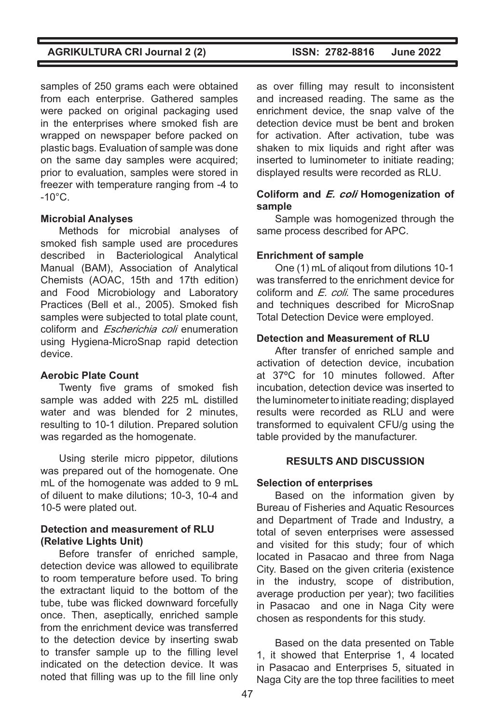samples of 250 grams each were obtained from each enterprise. Gathered samples were packed on original packaging used in the enterprises where smoked fish are wrapped on newspaper before packed on plastic bags. Evaluation of sample was done on the same day samples were acquired; prior to evaluation, samples were stored in freezer with temperature ranging from -4 to  $-10^{\circ}$ C.

# **Microbial Analyses**

Methods for microbial analyses of smoked fish sample used are procedures described in Bacteriological Analytical Manual (BAM), Association of Analytical Chemists (AOAC, 15th and 17th edition) and Food Microbiology and Laboratory Practices (Bell et al., 2005). Smoked fish samples were subjected to total plate count. coliform and Escherichia coli enumeration using Hygiena-MicroSnap rapid detection device.

# **Aerobic Plate Count**

Twenty five grams of smoked fish sample was added with 225 mL distilled water and was blended for 2 minutes, resulting to 10-1 dilution. Prepared solution was regarded as the homogenate.

Using sterile micro pippetor, dilutions was prepared out of the homogenate. One mL of the homogenate was added to 9 mL of diluent to make dilutions; 10-3, 10-4 and 10-5 were plated out.

# **Detection and measurement of RLU (Relative Lights Unit)**

Before transfer of enriched sample, detection device was allowed to equilibrate to room temperature before used. To bring the extractant liquid to the bottom of the tube, tube was flicked downward forcefully once. Then, aseptically, enriched sample from the enrichment device was transferred to the detection device by inserting swab to transfer sample up to the filling level indicated on the detection device. It was noted that filling was up to the fill line only

as over filling may result to inconsistent and increased reading. The same as the enrichment device, the snap valve of the detection device must be bent and broken for activation. After activation, tube was shaken to mix liquids and right after was inserted to luminometer to initiate reading; displayed results were recorded as RLU.

# **Coliform and E. coli Homogenization of sample**

Sample was homogenized through the same process described for APC.

# **Enrichment of sample**

One (1) mL of aliqout from dilutions 10-1 was transferred to the enrichment device for coliform and  $E$ . coli. The same procedures and techniques described for MicroSnap Total Detection Device were employed.

# **Detection and Measurement of RLU**

After transfer of enriched sample and activation of detection device, incubation at 37ºC for 10 minutes followed. After incubation, detection device was inserted to the luminometer to initiate reading; displayed results were recorded as RLU and were transformed to equivalent CFU/g using the table provided by the manufacturer.

# **RESULTS AND DISCUSSION**

# **Selection of enterprises**

Based on the information given by Bureau of Fisheries and Aquatic Resources and Department of Trade and Industry, a total of seven enterprises were assessed and visited for this study; four of which located in Pasacao and three from Naga City. Based on the given criteria (existence in the industry, scope of distribution, average production per year); two facilities in Pasacao and one in Naga City were chosen as respondents for this study.

Based on the data presented on Table 1, it showed that Enterprise 1, 4 located in Pasacao and Enterprises 5, situated in Naga City are the top three facilities to meet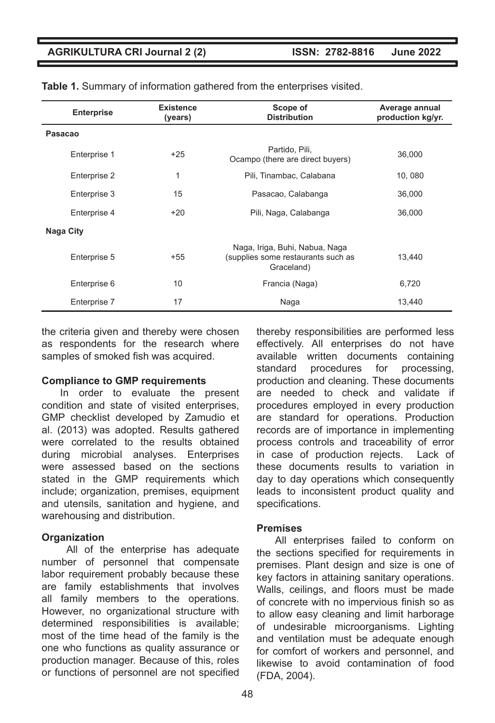| <b>Enterprise</b> | <b>Existence</b><br>(years) | Scope of<br><b>Distribution</b>                                                    | Average annual<br>production kg/yr. |
|-------------------|-----------------------------|------------------------------------------------------------------------------------|-------------------------------------|
| Pasacao           |                             |                                                                                    |                                     |
| Enterprise 1      | $+25$                       | Partido, Pili,<br>Ocampo (there are direct buyers)                                 | 36,000                              |
| Enterprise 2      | 1                           | Pili, Tinambac, Calabana                                                           | 10,080                              |
| Enterprise 3      | 15                          | Pasacao, Calabanga                                                                 | 36,000                              |
| Enterprise 4      | $+20$                       | Pili, Naga, Calabanga                                                              | 36,000                              |
| Naga City         |                             |                                                                                    |                                     |
| Enterprise 5      | +55                         | Naga, Iriga, Buhi, Nabua, Naga<br>(supplies some restaurants such as<br>Graceland) | 13,440                              |
| Enterprise 6      | 10                          | Francia (Naga)                                                                     | 6,720                               |
| Enterprise 7      | 17                          | Naga                                                                               | 13,440                              |

|  |  |  |  | Table 1. Summary of information gathered from the enterprises visited. |  |
|--|--|--|--|------------------------------------------------------------------------|--|
|--|--|--|--|------------------------------------------------------------------------|--|

the criteria given and thereby were chosen as respondents for the research where samples of smoked fish was acquired.

#### **Compliance to GMP requirements**

In order to evaluate the present condition and state of visited enterprises, GMP checklist developed by Zamudio et al. (2013) was adopted. Results gathered were correlated to the results obtained during microbial analyses. Enterprises were assessed based on the sections stated in the GMP requirements which include; organization, premises, equipment and utensils, sanitation and hygiene, and warehousing and distribution.

#### **Organization**

 All of the enterprise has adequate number of personnel that compensate labor requirement probably because these are family establishments that involves all family members to the operations. However, no organizational structure with determined responsibilities is available; most of the time head of the family is the one who functions as quality assurance or production manager. Because of this, roles or functions of personnel are not specified thereby responsibilities are performed less effectively. All enterprises do not have available written documents containing standard procedures for processing, production and cleaning. These documents are needed to check and validate if procedures employed in every production are standard for operations. Production records are of importance in implementing process controls and traceability of error in case of production rejects. Lack of these documents results to variation in day to day operations which consequently leads to inconsistent product quality and specifications.

#### **Premises**

All enterprises failed to conform on the sections specified for requirements in premises. Plant design and size is one of key factors in attaining sanitary operations. Walls, ceilings, and floors must be made of concrete with no impervious finish so as to allow easy cleaning and limit harborage of undesirable microorganisms. Lighting and ventilation must be adequate enough for comfort of workers and personnel, and likewise to avoid contamination of food (FDA, 2004).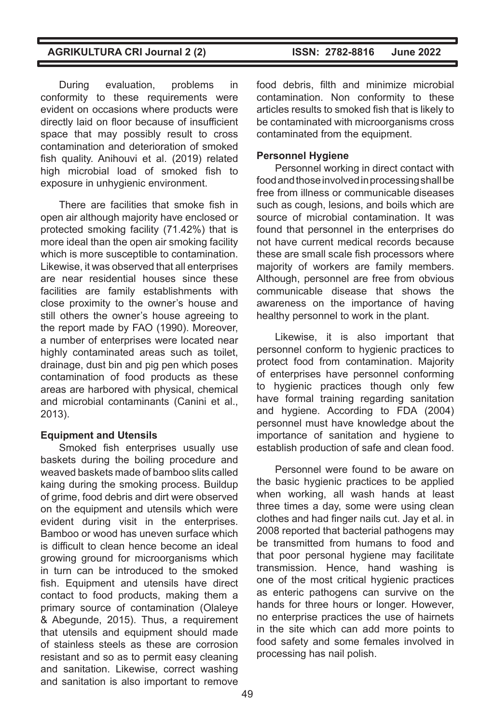During evaluation, problems in conformity to these requirements were evident on occasions where products were directly laid on floor because of insufficient space that may possibly result to cross contamination and deterioration of smoked fish quality. Anihouvi et al. (2019) related high microbial load of smoked fish to exposure in unhygienic environment.

There are facilities that smoke fish in open air although majority have enclosed or protected smoking facility (71.42%) that is more ideal than the open air smoking facility which is more susceptible to contamination. Likewise, it was observed that all enterprises are near residential houses since these facilities are family establishments with close proximity to the owner's house and still others the owner's house agreeing to the report made by FAO (1990). Moreover, a number of enterprises were located near highly contaminated areas such as toilet. drainage, dust bin and pig pen which poses contamination of food products as these areas are harbored with physical, chemical and microbial contaminants (Canini et al., 2013).

# **Equipment and Utensils**

Smoked fish enterprises usually use baskets during the boiling procedure and weaved baskets made of bamboo slits called kaing during the smoking process. Buildup of grime, food debris and dirt were observed on the equipment and utensils which were evident during visit in the enterprises. Bamboo or wood has uneven surface which is difficult to clean hence become an ideal growing ground for microorganisms which in turn can be introduced to the smoked fish. Equipment and utensils have direct contact to food products, making them a primary source of contamination (Olaleye & Abegunde, 2015). Thus, a requirement that utensils and equipment should made of stainless steels as these are corrosion resistant and so as to permit easy cleaning and sanitation. Likewise, correct washing and sanitation is also important to remove food debris, filth and minimize microbial contamination. Non conformity to these articles results to smoked fish that is likely to be contaminated with microorganisms cross contaminated from the equipment.

# **Personnel Hygiene**

Personnel working in direct contact with food and those involved in processing shall be free from illness or communicable diseases such as cough, lesions, and boils which are source of microbial contamination. It was found that personnel in the enterprises do not have current medical records because these are small scale fish processors where majority of workers are family members. Although, personnel are free from obvious communicable disease that shows the awareness on the importance of having healthy personnel to work in the plant.

Likewise, it is also important that personnel conform to hygienic practices to protect food from contamination. Majority of enterprises have personnel conforming to hygienic practices though only few have formal training regarding sanitation and hygiene. According to FDA (2004) personnel must have knowledge about the importance of sanitation and hygiene to establish production of safe and clean food.

Personnel were found to be aware on the basic hygienic practices to be applied when working, all wash hands at least three times a day, some were using clean clothes and had finger nails cut. Jay et al. in 2008 reported that bacterial pathogens may be transmitted from humans to food and that poor personal hygiene may facilitate transmission. Hence, hand washing is one of the most critical hygienic practices as enteric pathogens can survive on the hands for three hours or longer. However, no enterprise practices the use of hairnets in the site which can add more points to food safety and some females involved in processing has nail polish.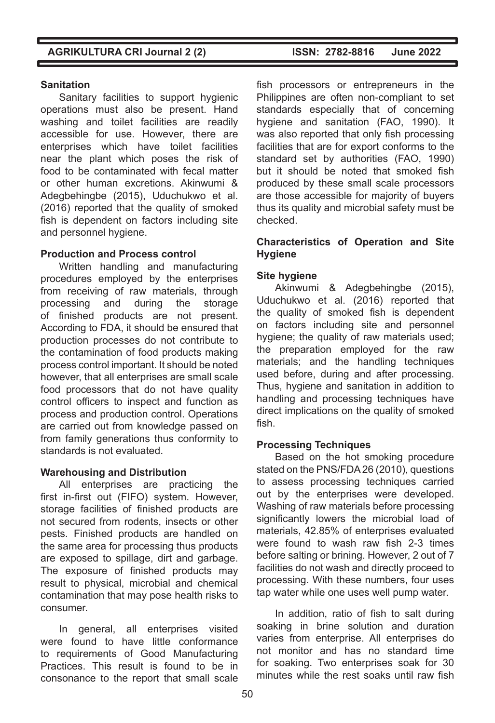# **Sanitation**

Sanitary facilities to support hygienic operations must also be present. Hand washing and toilet facilities are readily accessible for use. However, there are enterprises which have toilet facilities near the plant which poses the risk of food to be contaminated with fecal matter or other human excretions. Akinwumi & Adegbehingbe (2015), Uduchukwo et al. (2016) reported that the quality of smoked fish is dependent on factors including site and personnel hygiene.

# **Production and Process control**

Written handling and manufacturing procedures employed by the enterprises from receiving of raw materials, through processing and during the storage of finished products are not present. According to FDA, it should be ensured that production processes do not contribute to the contamination of food products making process control important. It should be noted however, that all enterprises are small scale food processors that do not have quality control officers to inspect and function as process and production control. Operations are carried out from knowledge passed on from family generations thus conformity to standards is not evaluated.

# **Warehousing and Distribution**

All enterprises are practicing the first in-first out (FIFO) system. However, storage facilities of finished products are not secured from rodents, insects or other pests. Finished products are handled on the same area for processing thus products are exposed to spillage, dirt and garbage. The exposure of finished products may result to physical, microbial and chemical contamination that may pose health risks to consumer.

In general, all enterprises visited were found to have little conformance to requirements of Good Manufacturing Practices. This result is found to be in consonance to the report that small scale fish processors or entrepreneurs in the Philippines are often non-compliant to set standards especially that of concerning hygiene and sanitation (FAO, 1990). It was also reported that only fish processing facilities that are for export conforms to the standard set by authorities (FAO, 1990) but it should be noted that smoked fish produced by these small scale processors are those accessible for majority of buyers thus its quality and microbial safety must be checked.

# **Characteristics of Operation and Site Hygiene**

# **Site hygiene**

Akinwumi & Adegbehingbe (2015), Uduchukwo et al. (2016) reported that the quality of smoked fish is dependent on factors including site and personnel hygiene; the quality of raw materials used; the preparation employed for the raw materials; and the handling techniques used before, during and after processing. Thus, hygiene and sanitation in addition to handling and processing techniques have direct implications on the quality of smoked fish.

# **Processing Techniques**

Based on the hot smoking procedure stated on the PNS/FDA 26 (2010), questions to assess processing techniques carried out by the enterprises were developed. Washing of raw materials before processing significantly lowers the microbial load of materials, 42.85% of enterprises evaluated were found to wash raw fish 2-3 times before salting or brining. However, 2 out of 7 facilities do not wash and directly proceed to processing. With these numbers, four uses tap water while one uses well pump water.

In addition, ratio of fish to salt during soaking in brine solution and duration varies from enterprise. All enterprises do not monitor and has no standard time for soaking. Two enterprises soak for 30 minutes while the rest soaks until raw fish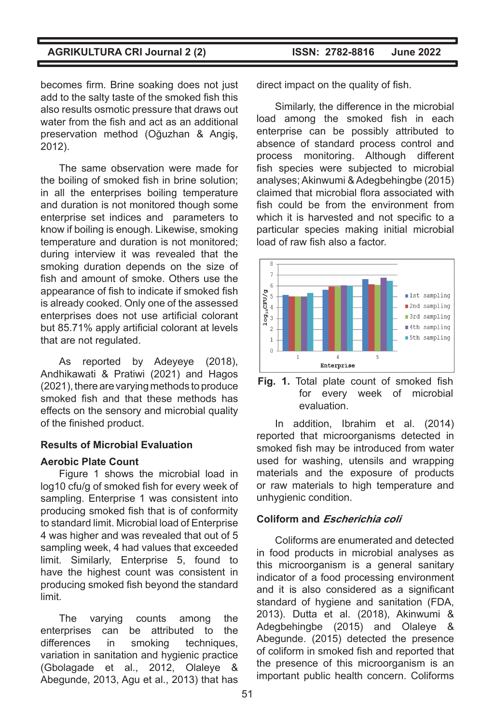becomes firm. Brine soaking does not just add to the salty taste of the smoked fish this also results osmotic pressure that draws out water from the fish and act as an additional preservation method (Oğuzhan & Angiş, 2012).

The same observation were made for the boiling of smoked fish in brine solution; in all the enterprises boiling temperature and duration is not monitored though some enterprise set indices and parameters to know if boiling is enough. Likewise, smoking temperature and duration is not monitored; during interview it was revealed that the smoking duration depends on the size of fish and amount of smoke. Others use the appearance of fish to indicate if smoked fish is already cooked. Only one of the assessed enterprises does not use artificial colorant but 85.71% apply artificial colorant at levels that are not regulated.

As reported by Adeyeye (2018), Andhikawati & Pratiwi (2021) and Hagos (2021), there are varying methods to produce smoked fish and that these methods has effects on the sensory and microbial quality of the finished product.

# **Results of Microbial Evaluation**

# **Aerobic Plate Count**

Figure 1 shows the microbial load in log10 cfu/g of smoked fish for every week of sampling. Enterprise 1 was consistent into producing smoked fish that is of conformity to standard limit. Microbial load of Enterprise 4 was higher and was revealed that out of 5 sampling week, 4 had values that exceeded limit. Similarly, Enterprise 5, found to have the highest count was consistent in producing smoked fish beyond the standard limit.

The varying counts among the enterprises can be attributed to the differences in smoking techniques, variation in sanitation and hygienic practice (Gbolagade et al., 2012, Olaleye Abegunde, 2013, Agu et al., 2013) that has

direct impact on the quality of fish.

Similarly, the difference in the microbial load among the smoked fish in each enterprise can be possibly attributed to absence of standard process control and process monitoring. Although different fish species were subjected to microbial analyses; Akinwumi & Adegbehingbe (2015) claimed that microbial flora associated with fish could be from the environment from which it is harvested and not specific to a particular species making initial microbial load of raw fish also a factor.





In addition, Ibrahim et al. (2014) reported that microorganisms detected in smoked fish may be introduced from water used for washing, utensils and wrapping materials and the exposure of products or raw materials to high temperature and unhygienic condition.

# **Coliform and Escherichia coli**

Coliforms are enumerated and detected in food products in microbial analyses as this microorganism is a general sanitary indicator of a food processing environment and it is also considered as a significant standard of hygiene and sanitation (FDA, 2013). Dutta et al. (2018), Akinwumi & Adegbehingbe (2015) and Olaleye & Abegunde. (2015) detected the presence of coliform in smoked fish and reported that the presence of this microorganism is an important public health concern. Coliforms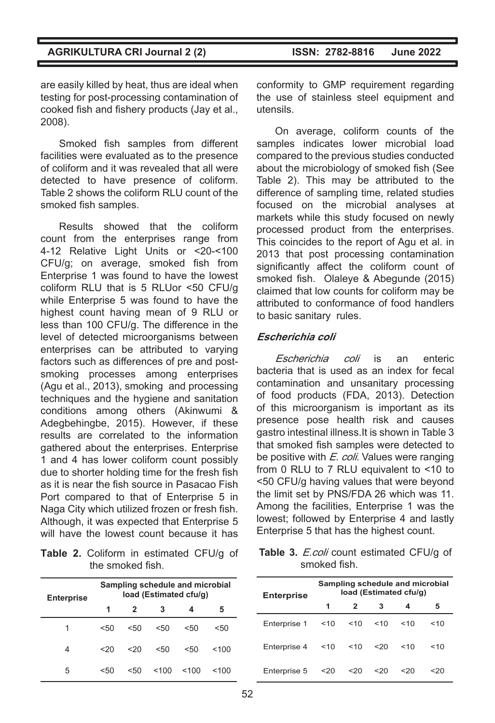are easily killed by heat, thus are ideal when testing for post-processing contamination of cooked fish and fishery products (Jay et al., 2008).

Smoked fish samples from different facilities were evaluated as to the presence of coliform and it was revealed that all were detected to have presence of coliform. Table 2 shows the coliform RLU count of the smoked fish samples.

Results showed that the coliform count from the enterprises range from 4-12 Relative Light Units or <20-<100 CFU/g; on average, smoked fish from Enterprise 1 was found to have the lowest coliform RLU that is 5 RLUor <50 CFU/g while Enterprise 5 was found to have the highest count having mean of 9 RLU or less than 100 CFU/g. The difference in the level of detected microorganisms between enterprises can be attributed to varying factors such as differences of pre and postsmoking processes among enterprises (Agu et al., 2013), smoking and processing techniques and the hygiene and sanitation conditions among others (Akinwumi & Adegbehingbe, 2015). However, if these results are correlated to the information gathered about the enterprises. Enterprise 1 and 4 has lower coliform count possibly due to shorter holding time for the fresh fish as it is near the fish source in Pasacao Fish Port compared to that of Enterprise 5 in Naga City which utilized frozen or fresh fish. Although, it was expected that Enterprise 5 will have the lowest count because it has

**Table 2.** Coliform in estimated CFU/g of the smoked fish.

| <b>Enterprise</b> | Sampling schedule and microbial<br>load (Estimated cfu/g) |     |     |      |      |
|-------------------|-----------------------------------------------------------|-----|-----|------|------|
|                   | 1                                                         | 2   |     | 4    | 5    |
| 1                 | 550                                                       | 550 | 50< | < 50 | < 50 |
| 4                 | 320                                                       | 320 | 50< | < 50 | <100 |
| 5                 | <50                                                       | 550 | 100 | 100  | 100  |

conformity to GMP requirement regarding the use of stainless steel equipment and utensils.

On average, coliform counts of the samples indicates lower microbial load compared to the previous studies conducted about the microbiology of smoked fish (See Table 2). This may be attributed to the difference of sampling time, related studies focused on the microbial analyses at markets while this study focused on newly processed product from the enterprises. This coincides to the report of Agu et al. in 2013 that post processing contamination significantly affect the coliform count of smoked fish. Olaleye & Abegunde (2015) claimed that low counts for coliform may be attributed to conformance of food handlers to basic sanitary rules.

### **Escherichia coli**

Escherichia coli is an enteric bacteria that is used as an index for fecal contamination and unsanitary processing of food products (FDA, 2013). Detection of this microorganism is important as its presence pose health risk and causes gastro intestinal illness.It is shown in Table 3 that smoked fish samples were detected to be positive with *E. coli*. Values were ranging from 0 RLU to 7 RLU equivalent to <10 to <50 CFU/g having values that were beyond the limit set by PNS/FDA 26 which was 11. Among the facilities, Enterprise 1 was the lowest; followed by Enterprise 4 and lastly Enterprise 5 that has the highest count.

Table 3. E.coli count estimated CFU/g of smoked fish.

| <b>Enterprise</b> | Sampling schedule and microbial<br>load (Estimated cfu/g) |               |        |      |      |
|-------------------|-----------------------------------------------------------|---------------|--------|------|------|
|                   | 1                                                         | $\mathcal{P}$ | 3      | 4    | 5    |
| Enterprise 1      | $10^{-1}$                                                 | $<$ 10        | $<$ 10 | ~10  | ~10  |
| Enterprise 4      | $<$ 10                                                    | $<$ 10        | 320    | < 10 | < 10 |
| Enterprise 5      | 20 <sub>20</sub>                                          | 20            | 320    | <20  | <20  |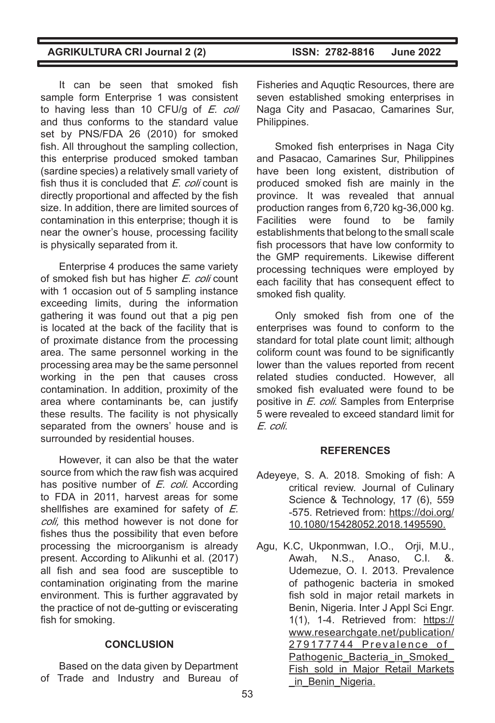It can be seen that smoked fish sample form Enterprise 1 was consistent to having less than 10 CFU/g of E. coli and thus conforms to the standard value set by PNS/FDA 26 (2010) for smoked fish. All throughout the sampling collection, this enterprise produced smoked tamban (sardine species) a relatively small variety of fish thus it is concluded that *E. coli* count is directly proportional and affected by the fish size. In addition, there are limited sources of contamination in this enterprise; though it is near the owner's house, processing facility is physically separated from it.

Enterprise 4 produces the same variety of smoked fish but has higher E. coli count with 1 occasion out of 5 sampling instance exceeding limits, during the information gathering it was found out that a pig pen is located at the back of the facility that is of proximate distance from the processing area. The same personnel working in the processing area may be the same personnel working in the pen that causes cross contamination. In addition, proximity of the area where contaminants be, can justify these results. The facility is not physically separated from the owners' house and is surrounded by residential houses.

However, it can also be that the water source from which the raw fish was acquired has positive number of E. coli. According to FDA in 2011, harvest areas for some shellfishes are examined for safety of E. coli, this method however is not done for fishes thus the possibility that even before processing the microorganism is already present. According to Alikunhi et al. (2017) all fish and sea food are susceptible to contamination originating from the marine environment. This is further aggravated by the practice of not de-gutting or eviscerating fish for smoking.

# **CONCLUSION**

Based on the data given by Department of Trade and Industry and Bureau of Fisheries and Aquqtic Resources, there are seven established smoking enterprises in Naga City and Pasacao, Camarines Sur, Philippines.

Smoked fish enterprises in Naga City and Pasacao, Camarines Sur, Philippines have been long existent, distribution of produced smoked fish are mainly in the province. It was revealed that annual production ranges from 6,720 kg-36,000 kg. Facilities were found to be family establishments that belong to the small scale fish processors that have low conformity to the GMP requirements. Likewise different processing techniques were employed by each facility that has consequent effect to smoked fish quality.

Only smoked fish from one of the enterprises was found to conform to the standard for total plate count limit; although coliform count was found to be significantly lower than the values reported from recent related studies conducted. However, all smoked fish evaluated were found to be positive in *E. coli*. Samples from Enterprise 5 were revealed to exceed standard limit for E. coli.

#### **REFERENCES**

- Adeyeye, S. A. 2018. Smoking of fish: A critical review. Journal of Culinary Science & Technology, 17 (6), 559 -575. Retrieved from: https://doi.org/ 10.1080/15428052.2018.1495590.
- Agu, K.C, Ukponmwan, I.O., Orji, M.U., Awah, N.S., Anaso, C.I. &. Udemezue, O. I. 2013. Prevalence of pathogenic bacteria in smoked fish sold in major retail markets in Benin, Nigeria. Inter J Appl Sci Engr. 1(1),  $1-4$ . Retrieved from: https:// www.researchgate.net/publication/ 279177744\_Prevalence\_of\_ Pathogenic Bacteria in Smoked Fish\_sold\_in\_Major\_Retail\_Markets in Benin Nigeria.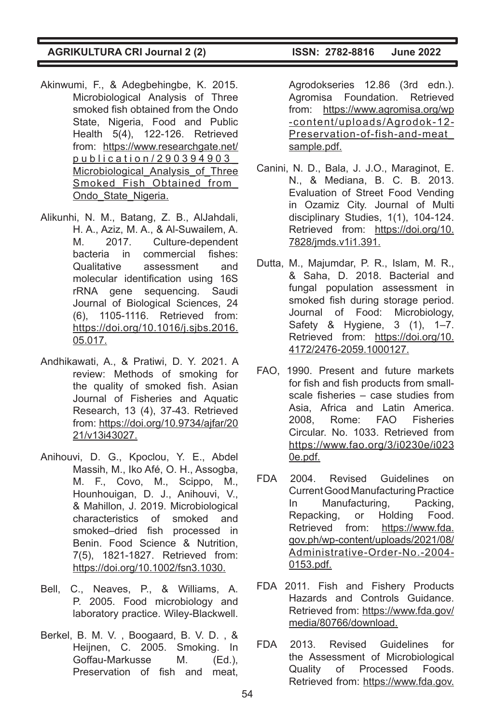- Akinwumi, F., & Adegbehingbe, K. 2015. Microbiological Analysis of Three smoked fish obtained from the Ondo State, Nigeria, Food and Public Health 5(4), 122-126. Retrieved from: https://www.researchgate.net/ publication/290394903\_ Microbiological Analysis of Three Smoked\_Fish\_Obtained\_from Ondo\_State\_Nigeria.
- Alikunhi, N. M., Batang, Z. B., AlJahdali, H. A., Aziz, M. A., & Al-Suwailem, A. M. 2017. Culture-dependent bacteria in commercial fishes: Qualitative assessment and molecular identification using 16S rRNA gene sequencing. Saudi Journal of Biological Sciences, 24 (6), 1105-1116. Retrieved from: https://doi.org/10.1016/j.sjbs.2016. 05.017.
- Andhikawati, A., & Pratiwi, D. Y. 2021. A review: Methods of smoking for the quality of smoked fish. Asian Journal of Fisheries and Aquatic Research, 13 (4), 37-43. Retrieved from: https://doi.org/10.9734/ajfar/20 21/v13i43027.
- Anihouvi, D. G., Kpoclou, Y. E., Abdel Massih, M., Iko Afé, O. H., Assogba, M. F., Covo, M., Scippo, M., Hounhouigan, D. J., Anihouvi, V., & Mahillon, J. 2019. Microbiological characteristics of smoked and smoked–dried fish processed in Benin. Food Science & Nutrition, 7(5), 1821-1827. Retrieved from: https://doi.org/10.1002/fsn3.1030.
- Bell, C., Neaves, P., & Williams, A. P. 2005. Food microbiology and laboratory practice. Wiley-Blackwell.
- Berkel, B. M. V. , Boogaard, B. V. D. , & Heijnen, C. 2005. Smoking. In Goffau-Markusse M. (Ed.), Preservation of fish and meat,

Agrodokseries 12.86 (3rd edn.). Agromisa Foundation. Retrieved from: https://www.agromisa.org/wp -content/uploads/Agrodok-12- Preservation-of-fish-and-meat\_ sample.pdf.

- Canini, N. D., Bala, J. J.O., Maraginot, E. N., & Mediana, B. C. B. 2013. Evaluation of Street Food Vending in Ozamiz City. Journal of Multi disciplinary Studies, 1(1), 104-124. Retrieved from: https://doi.org/10. 7828/jmds.v1i1.391.
- Dutta, M., Majumdar, P. R., Islam, M. R., & Saha, D. 2018. Bacterial and fungal population assessment in smoked fish during storage period. Journal of Food: Microbiology, Safety & Hygiene, 3 (1), 1–7. Retrieved from: https://doi.org/10. 4172/2476-2059.1000127.
- FAO, 1990. Present and future markets for fish and fish products from smallscale fisheries – case studies from Asia, Africa and Latin America. 2008, Rome: FAO Fisheries Circular. No. 1033. Retrieved from https://www.fao.org/3/i0230e/i023 0e.pdf.
- FDA 2004. Revised Guidelines on Current Good Manufacturing Practice In Manufacturing, Packing, Repacking, or Holding Food.<br>Retrieved from: https://www.fda. Retrieved from: gov.ph/wp-content/uploads/2021/08/ Administrative-Order-No.-2004- 0153.pdf.
- FDA 2011. Fish and Fishery Products Hazards and Controls Guidance. Retrieved from: https://www.fda.gov/ media/80766/download.
- FDA 2013. Revised Guidelines for the Assessment of Microbiological Quality of Processed Foods. Retrieved from: https://www.fda.gov.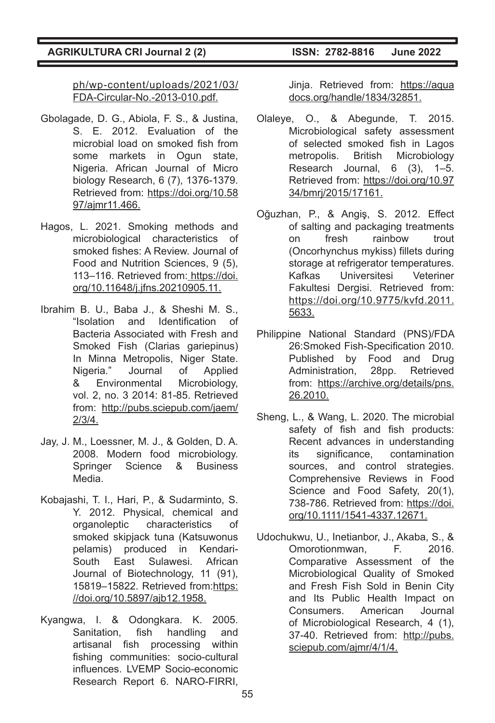ph/wp-content/uploads/2021/03/ FDA-Circular-No.-2013-010.pdf.

- Gbolagade, D. G., Abiola, F. S., & Justina, S. E. 2012. Evaluation of the microbial load on smoked fish from some markets in Ogun state. Nigeria. African Journal of Micro biology Research, 6 (7), 1376-1379. Retrieved from: https://doi.org/10.58 97/ajmr11.466.
- Hagos, L. 2021. Smoking methods and microbiological characteristics of smoked fishes: A Review. Journal of Food and Nutrition Sciences, 9 (5), 113–116. Retrieved from: https://doi. org/10.11648/j.jfns.20210905.11.
- Ibrahim B. U., Baba J., & Sheshi M. S., "Isolation and Identification of Bacteria Associated with Fresh and Smoked Fish (Clarias gariepinus) In Minna Metropolis, Niger State. Nigeria." Journal of Applied & Environmental Microbiology, vol. 2, no. 3 2014: 81-85. Retrieved from: http://pubs.sciepub.com/jaem/ 2/3/4.
- Jay, J. M., Loessner, M. J., & Golden, D. A. 2008. Modern food microbiology. Springer Science & Business Media.
- Kobajashi, T. I., Hari, P., & Sudarminto, S. Y. 2012. Physical, chemical and organoleptic characteristics of smoked skipjack tuna (Katsuwonus pelamis) produced in Kendari-<br>South East Sulawesi. African South East Sulawesi. African Journal of Biotechnology, 11 (91), 15819–15822. Retrieved from:https: //doi.org/10.5897/ajb12.1958.
- Kyangwa, I. & Odongkara. K. 2005. Sanitation, fish handling and artisanal fish processing within fishing communities: socio-cultural influences. LVEMP Socio-economic Research Report 6. NARO-FIRRI,

Jinja. Retrieved from: https://aqua docs.org/handle/1834/32851.

- Olaleye, O., & Abegunde, T. 2015. Microbiological safety assessment of selected smoked fish in Lagos metropolis. British Microbiology Research Journal, 6 (3), 1–5. Retrieved from: https://doi.org/10.97 34/bmrj/2015/17161.
- Oğuzhan, P., & Angiş, S. 2012. Effect of salting and packaging treatments on fresh rainbow trout (Oncorhynchus mykiss) fillets during storage at refrigerator temperatures. Kafkas Universitesi Veteriner Fakultesi Dergisi. Retrieved from: https://doi.org/10.9775/kvfd.2011. 5633.
- Philippine National Standard (PNS)/FDA 26:Smoked Fish-Specification 2010. Published by Food and Drug Administration, 28pp. Retrieved from: https://archive.org/details/pns. 26.2010.
- Sheng, L., & Wang, L. 2020. The microbial safety of fish and fish products: Recent advances in understanding its significance, contamination sources, and control strategies. Comprehensive Reviews in Food Science and Food Safety, 20(1), 738-786. Retrieved from: https://doi. org/10.1111/1541-4337.12671.
- Udochukwu, U., Inetianbor, J., Akaba, S., & Omorotionmwan, F. 2016. Comparative Assessment of the Microbiological Quality of Smoked and Fresh Fish Sold in Benin City and Its Public Health Impact on Consumers. American Journal of Microbiological Research, 4 (1), 37-40. Retrieved from: http://pubs. sciepub.com/ajmr/4/1/4.